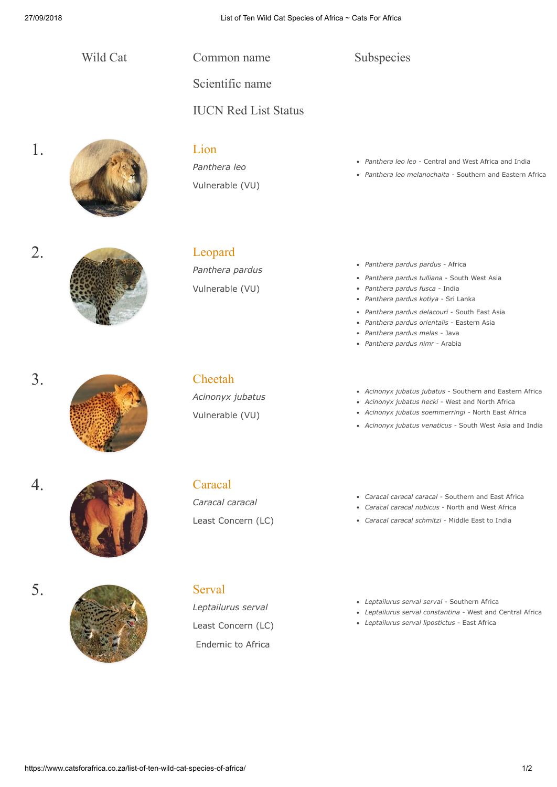Wild Cat Common name

Scientific name

IUCN Red List Status

# 1. Eion

*Panthera leo* Vulnerable (VU)

- *Panthera leo leo -* Central and West Africa and India
- *Panthera leo melanochaita -* Southern and Eastern Africa



*Panthera pardus* Vulnerable (VU)

*Panthera pardus pardus* - Africa

Subspecies

- *Panthera pardus tulliana* South West Asia
- *Panthera pardus fusca* India  $\bullet$
- *Panthera pardus kotiya* Sri Lanka
- *Panthera pardus delacouri* South East Asia
- *Panthera pardus orientalis* Eastern Asia *Panthera pardus melas* - Java
- *Panthera pardus nimr* Arabia

3. [Cheetah](https://www.wildcatfamily.com/puma-lineage/cheetah-acinonyx-jubatus/)

*Acinonyx jubatus* Vulnerable (VU)

- *Acinonyx jubatus jubatus* Southern and Eastern Africa
- *Acinonyx jubatus hecki* West and North Africa
- *Acinonyx jubatus soemmerringi* North East Africa
- *Acinonyx jubatus venaticus -* South West Asia and India

- 4. [Caracal](http://www.catsforafrica.co.za/caracal-caracal-caracal/)
- 
- 



## *Caracal caracal*

Least Concern (LC)

*Leptailurus serval*

Least Concern (LC) Endemic to Africa

- *Caracal caracal caracal -* Southern and East Africa *Caracal caracal nubicus -* North and West Africa
- *Caracal caracal schmitzi -* Middle East to India
- *Leptailurus serval serval* Southern Africa
- *Leptailurus serval constantina*  West and Central Africa
- *Leptailurus serval lipostictus*  East Africa